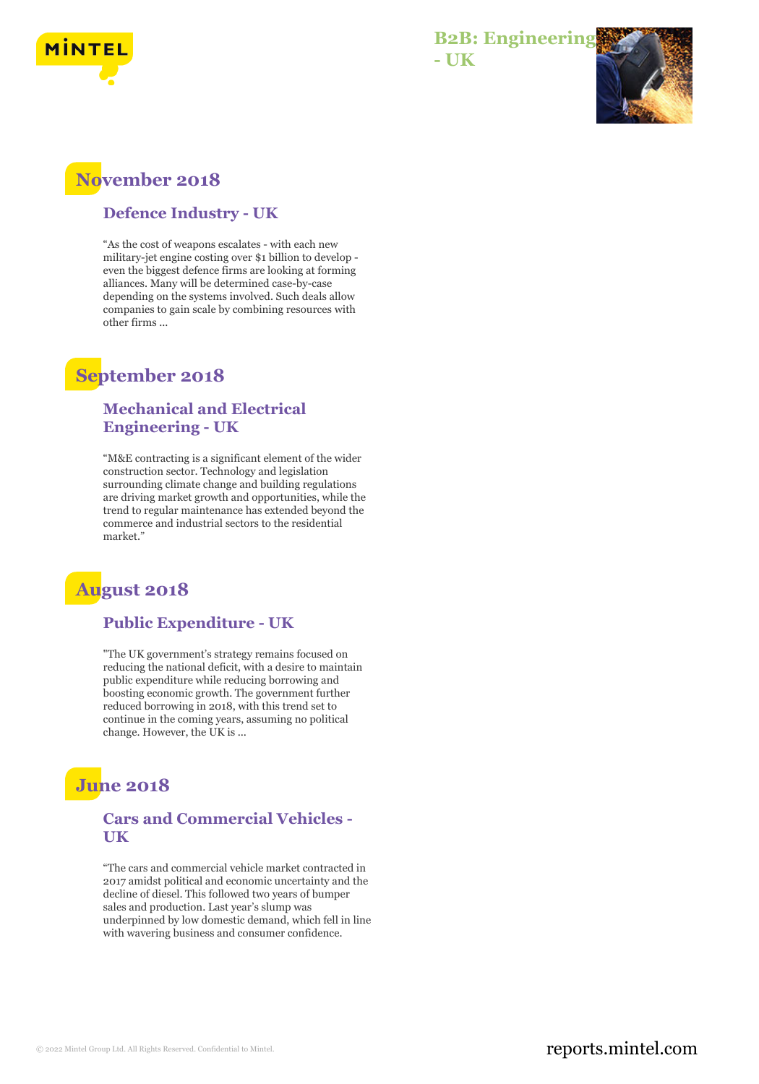

#### **B2B: Engineering - UK**



### **November 2018**

#### **Defence Industry - UK**

"As the cost of weapons escalates - with each new military-jet engine costing over \$1 billion to develop even the biggest defence firms are looking at forming alliances. Many will be determined case-by-case depending on the systems involved. Such deals allow companies to gain scale by combining resources with other firms ...

### **September 2018**

#### **Mechanical and Electrical Engineering - UK**

"M&E contracting is a significant element of the wider construction sector. Technology and legislation surrounding climate change and building regulations are driving market growth and opportunities, while the trend to regular maintenance has extended beyond the commerce and industrial sectors to the residential market."

# **August 2018**

#### **Public Expenditure - UK**

"The UK government's strategy remains focused on reducing the national deficit, with a desire to maintain public expenditure while reducing borrowing and boosting economic growth. The government further reduced borrowing in 2018, with this trend set to continue in the coming years, assuming no political change. However, the UK is ...

# **June 2018**

#### **Cars and Commercial Vehicles - UK**

"The cars and commercial vehicle market contracted in 2017 amidst political and economic uncertainty and the decline of diesel. This followed two years of bumper sales and production. Last year's slump was underpinned by low domestic demand, which fell in line with wavering business and consumer confidence.